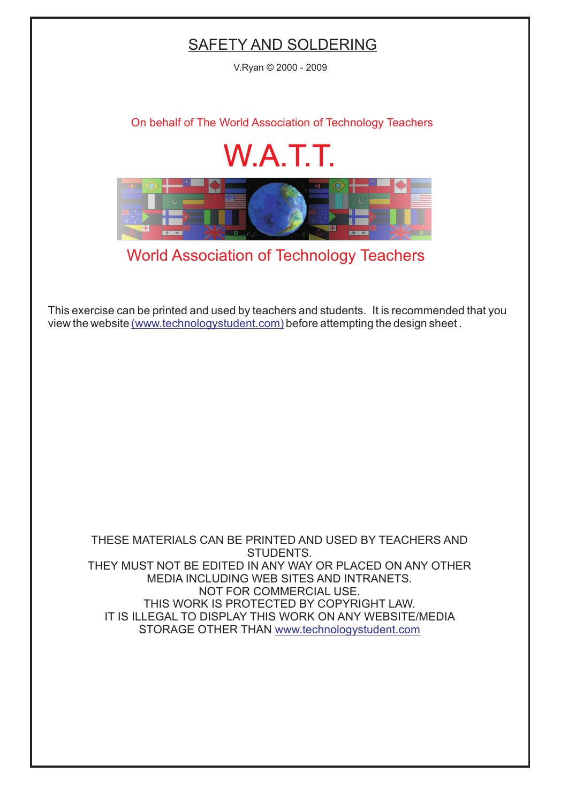## SAFETY AND SOLDERING

V.Ryan © 2000 - 2009

[On behalf of The World Association of Technology Teachers](http://www.technologystudent.com)

## W.A.T.T.



[World Association of Technology Teachers](http://www.technologystudent.com)

[This exercise can be printed and used by teachers and students. It is recommended that you](http://www.technologystudent.com/designpro/drawdex.htm) view the website [\(www.technologystudent.com\)](http://www.technologystudent.com) before attempting the design sheet .

THESE MATERIALS CAN BE PRINTED AND USED BY TEACHERS AND STUDENTS. THEY MUST NOT BE EDITED IN ANY WAY OR PLACED ON ANY OTHER MEDIA INCLUDING WEB SITES AND INTRANETS. NOT FOR COMMERCIAL USE. THIS WORK IS PROTECTED BY COPYRIGHT LAW. IT IS ILLEGAL TO DISPLAY THIS WORK ON ANY WEBSITE/MEDIA STORAGE OTHER THAN [www.technologystudent.com](http://www.technologystudent.com)